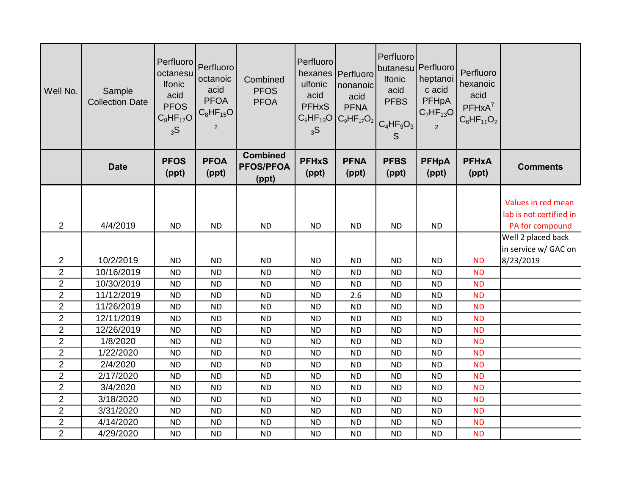| Well No.       | Sample<br><b>Collection Date</b> | Perfluoro<br>octanesu<br><b>Ifonic</b><br>acid<br><b>PFOS</b><br>$C_8HF_{17}O$<br>3S | Perfluoro<br>octanoic<br>acid<br><b>PFOA</b><br>$C_8HF_{15}O$<br>$\overline{2}$ | Combined<br><b>PFOS</b><br><b>PFOA</b>       | Perfluoro<br>ulfonic<br>acid<br><b>PFHxS</b><br>3S | hexanes Perfluoro<br>nonanoic<br>acid<br><b>PFNA</b><br>$C_6HF_{13}O C_9HF_{17}O_2 $ | Perfluoro<br>Ifonic<br>acid<br><b>PFBS</b><br>$C_4HF_9O_3$<br>S | butanesu Perfluoro<br>heptanoi<br>c acid<br>PFHpA<br>$C_7HF_{13}O$<br>$\overline{2}$ | Perfluoro<br>hexanoic<br>acid<br>$PFHxA^7$<br>$C_6HF_{11}O_2$ |                         |
|----------------|----------------------------------|--------------------------------------------------------------------------------------|---------------------------------------------------------------------------------|----------------------------------------------|----------------------------------------------------|--------------------------------------------------------------------------------------|-----------------------------------------------------------------|--------------------------------------------------------------------------------------|---------------------------------------------------------------|-------------------------|
|                | <b>Date</b>                      | <b>PFOS</b><br>(ppt)                                                                 | <b>PFOA</b><br>(ppt)                                                            | <b>Combined</b><br><b>PFOS/PFOA</b><br>(ppt) | <b>PFHxS</b><br>(ppt)                              | <b>PFNA</b><br>(ppt)                                                                 | <b>PFBS</b><br>(ppt)                                            | <b>PFHpA</b><br>(ppt)                                                                | <b>PFHxA</b><br>(ppt)                                         | <b>Comments</b>         |
|                |                                  |                                                                                      |                                                                                 |                                              |                                                    |                                                                                      |                                                                 |                                                                                      |                                                               | Values in red mean      |
|                |                                  |                                                                                      |                                                                                 |                                              |                                                    |                                                                                      |                                                                 |                                                                                      |                                                               | lab is not certified in |
| $\overline{2}$ | 4/4/2019                         | <b>ND</b>                                                                            | <b>ND</b>                                                                       | <b>ND</b>                                    | <b>ND</b>                                          | <b>ND</b>                                                                            | <b>ND</b>                                                       | <b>ND</b>                                                                            |                                                               | PA for compound         |
|                |                                  |                                                                                      |                                                                                 |                                              |                                                    |                                                                                      |                                                                 |                                                                                      |                                                               | Well 2 placed back      |
|                |                                  |                                                                                      |                                                                                 |                                              |                                                    |                                                                                      |                                                                 |                                                                                      |                                                               | in service w/ GAC on    |
| $\overline{2}$ | 10/2/2019                        | <b>ND</b>                                                                            | <b>ND</b>                                                                       | <b>ND</b>                                    | <b>ND</b>                                          | <b>ND</b>                                                                            | <b>ND</b>                                                       | <b>ND</b>                                                                            | <b>ND</b>                                                     | 8/23/2019               |
| $\overline{2}$ | 10/16/2019                       | <b>ND</b>                                                                            | <b>ND</b>                                                                       | <b>ND</b>                                    | <b>ND</b>                                          | <b>ND</b>                                                                            | <b>ND</b>                                                       | <b>ND</b>                                                                            | <b>ND</b>                                                     |                         |
| $\overline{2}$ | 10/30/2019                       | <b>ND</b>                                                                            | <b>ND</b>                                                                       | <b>ND</b>                                    | <b>ND</b>                                          | <b>ND</b>                                                                            | <b>ND</b>                                                       | <b>ND</b>                                                                            | <b>ND</b>                                                     |                         |
| $\overline{2}$ | 11/12/2019                       | <b>ND</b>                                                                            | <b>ND</b>                                                                       | <b>ND</b>                                    | <b>ND</b>                                          | 2.6                                                                                  | <b>ND</b>                                                       | <b>ND</b>                                                                            | <b>ND</b>                                                     |                         |
| $\overline{2}$ | 11/26/2019                       | <b>ND</b>                                                                            | <b>ND</b>                                                                       | <b>ND</b>                                    | <b>ND</b>                                          | <b>ND</b>                                                                            | <b>ND</b>                                                       | <b>ND</b>                                                                            | <b>ND</b>                                                     |                         |
| $\overline{2}$ | 12/11/2019                       | <b>ND</b>                                                                            | <b>ND</b>                                                                       | <b>ND</b>                                    | <b>ND</b>                                          | <b>ND</b>                                                                            | <b>ND</b>                                                       | <b>ND</b>                                                                            | <b>ND</b>                                                     |                         |
| $\overline{2}$ | 12/26/2019                       | <b>ND</b>                                                                            | <b>ND</b>                                                                       | <b>ND</b>                                    | <b>ND</b>                                          | <b>ND</b>                                                                            | <b>ND</b>                                                       | <b>ND</b>                                                                            | <b>ND</b>                                                     |                         |
| $\overline{2}$ | 1/8/2020                         | <b>ND</b>                                                                            | <b>ND</b>                                                                       | <b>ND</b>                                    | <b>ND</b>                                          | <b>ND</b>                                                                            | <b>ND</b>                                                       | <b>ND</b>                                                                            | <b>ND</b>                                                     |                         |
| $\overline{2}$ | 1/22/2020                        | <b>ND</b>                                                                            | <b>ND</b>                                                                       | <b>ND</b>                                    | <b>ND</b>                                          | <b>ND</b>                                                                            | <b>ND</b>                                                       | <b>ND</b>                                                                            | <b>ND</b>                                                     |                         |
| $\overline{2}$ | 2/4/2020                         | <b>ND</b>                                                                            | <b>ND</b>                                                                       | <b>ND</b>                                    | <b>ND</b>                                          | <b>ND</b>                                                                            | <b>ND</b>                                                       | <b>ND</b>                                                                            | <b>ND</b>                                                     |                         |
| $\overline{2}$ | 2/17/2020                        | <b>ND</b>                                                                            | <b>ND</b>                                                                       | <b>ND</b>                                    | <b>ND</b>                                          | <b>ND</b>                                                                            | <b>ND</b>                                                       | <b>ND</b>                                                                            | <b>ND</b>                                                     |                         |
| $\overline{2}$ | 3/4/2020                         | <b>ND</b>                                                                            | <b>ND</b>                                                                       | <b>ND</b>                                    | <b>ND</b>                                          | <b>ND</b>                                                                            | <b>ND</b>                                                       | <b>ND</b>                                                                            | <b>ND</b>                                                     |                         |
| $\overline{2}$ | 3/18/2020                        | <b>ND</b>                                                                            | <b>ND</b>                                                                       | <b>ND</b>                                    | <b>ND</b>                                          | <b>ND</b>                                                                            | <b>ND</b>                                                       | <b>ND</b>                                                                            | <b>ND</b>                                                     |                         |
| $\overline{2}$ | 3/31/2020                        | <b>ND</b>                                                                            | <b>ND</b>                                                                       | <b>ND</b>                                    | <b>ND</b>                                          | <b>ND</b>                                                                            | <b>ND</b>                                                       | <b>ND</b>                                                                            | <b>ND</b>                                                     |                         |
| $\overline{2}$ | 4/14/2020                        | <b>ND</b>                                                                            | <b>ND</b>                                                                       | <b>ND</b>                                    | <b>ND</b>                                          | <b>ND</b>                                                                            | <b>ND</b>                                                       | <b>ND</b>                                                                            | <b>ND</b>                                                     |                         |
| $\overline{2}$ | 4/29/2020                        | <b>ND</b>                                                                            | <b>ND</b>                                                                       | <b>ND</b>                                    | <b>ND</b>                                          | <b>ND</b>                                                                            | <b>ND</b>                                                       | <b>ND</b>                                                                            | <b>ND</b>                                                     |                         |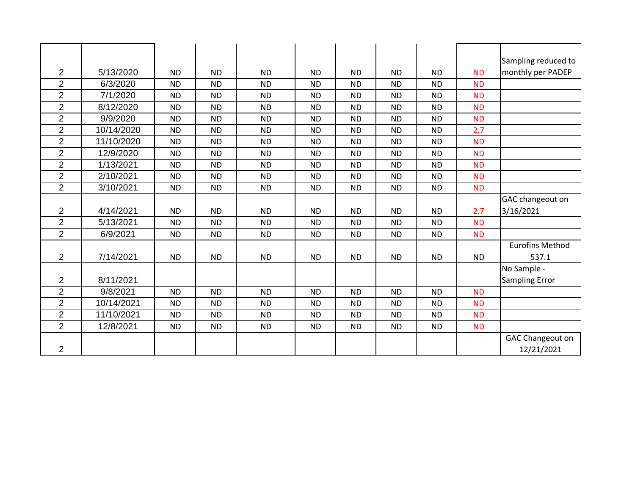|                |            |           |           |           |           |           |           |           |           | Sampling reduced to     |
|----------------|------------|-----------|-----------|-----------|-----------|-----------|-----------|-----------|-----------|-------------------------|
| $\overline{2}$ | 5/13/2020  | <b>ND</b> | <b>ND</b> | <b>ND</b> | <b>ND</b> | <b>ND</b> | <b>ND</b> | <b>ND</b> | <b>ND</b> | monthly per PADEP       |
| $\overline{2}$ | 6/3/2020   | <b>ND</b> | <b>ND</b> | <b>ND</b> | <b>ND</b> | <b>ND</b> | <b>ND</b> | <b>ND</b> | <b>ND</b> |                         |
| $\overline{2}$ | 7/1/2020   | <b>ND</b> | ND.       | <b>ND</b> | <b>ND</b> | <b>ND</b> | <b>ND</b> | <b>ND</b> | <b>ND</b> |                         |
| $\overline{2}$ | 8/12/2020  | <b>ND</b> | <b>ND</b> | <b>ND</b> | <b>ND</b> | <b>ND</b> | <b>ND</b> | <b>ND</b> | <b>ND</b> |                         |
| $\overline{2}$ | 9/9/2020   | <b>ND</b> | ND.       | <b>ND</b> | <b>ND</b> | <b>ND</b> | <b>ND</b> | <b>ND</b> | <b>ND</b> |                         |
| $\overline{2}$ | 10/14/2020 | <b>ND</b> | <b>ND</b> | <b>ND</b> | <b>ND</b> | <b>ND</b> | <b>ND</b> | <b>ND</b> | 2.7       |                         |
| $\overline{2}$ | 11/10/2020 | <b>ND</b> | <b>ND</b> | <b>ND</b> | <b>ND</b> | <b>ND</b> | <b>ND</b> | <b>ND</b> | <b>ND</b> |                         |
| $\overline{2}$ | 12/9/2020  | <b>ND</b> | <b>ND</b> | <b>ND</b> | <b>ND</b> | <b>ND</b> | <b>ND</b> | <b>ND</b> | <b>ND</b> |                         |
| $\overline{2}$ | 1/13/2021  | <b>ND</b> | <b>ND</b> | <b>ND</b> | <b>ND</b> | <b>ND</b> | <b>ND</b> | <b>ND</b> | <b>ND</b> |                         |
| $\overline{2}$ | 2/10/2021  | <b>ND</b> | <b>ND</b> | <b>ND</b> | <b>ND</b> | <b>ND</b> | <b>ND</b> | <b>ND</b> | <b>ND</b> |                         |
| $\overline{2}$ | 3/10/2021  | <b>ND</b> | <b>ND</b> | <b>ND</b> | <b>ND</b> | <b>ND</b> | <b>ND</b> | <b>ND</b> | <b>ND</b> |                         |
|                |            |           |           |           |           |           |           |           |           | GAC changeout on        |
| $\overline{2}$ | 4/14/2021  | <b>ND</b> | <b>ND</b> | <b>ND</b> | <b>ND</b> | <b>ND</b> | <b>ND</b> | <b>ND</b> | 2.7       | 3/16/2021               |
| $\overline{2}$ | 5/13/2021  | <b>ND</b> | <b>ND</b> | <b>ND</b> | <b>ND</b> | <b>ND</b> | <b>ND</b> | <b>ND</b> | <b>ND</b> |                         |
| $\overline{2}$ | 6/9/2021   | <b>ND</b> | <b>ND</b> | <b>ND</b> | <b>ND</b> | <b>ND</b> | <b>ND</b> | <b>ND</b> | <b>ND</b> |                         |
|                |            |           |           |           |           |           |           |           |           | <b>Eurofins Method</b>  |
| $\overline{2}$ | 7/14/2021  | <b>ND</b> | <b>ND</b> | <b>ND</b> | <b>ND</b> | <b>ND</b> | <b>ND</b> | <b>ND</b> | <b>ND</b> | 537.1                   |
|                |            |           |           |           |           |           |           |           |           | No Sample -             |
| $\overline{c}$ | 8/11/2021  |           |           |           |           |           |           |           |           | Sampling Error          |
| $\overline{2}$ | 9/8/2021   | <b>ND</b> | <b>ND</b> | <b>ND</b> | <b>ND</b> | <b>ND</b> | <b>ND</b> | <b>ND</b> | <b>ND</b> |                         |
| $\overline{2}$ | 10/14/2021 | <b>ND</b> | ND.       | <b>ND</b> | <b>ND</b> | <b>ND</b> | <b>ND</b> | <b>ND</b> | <b>ND</b> |                         |
| $\overline{2}$ | 11/10/2021 | <b>ND</b> | <b>ND</b> | <b>ND</b> | <b>ND</b> | <b>ND</b> | <b>ND</b> | <b>ND</b> | <b>ND</b> |                         |
| $\overline{2}$ | 12/8/2021  | <b>ND</b> | <b>ND</b> | <b>ND</b> | <b>ND</b> | <b>ND</b> | <b>ND</b> | <b>ND</b> | <b>ND</b> |                         |
|                |            |           |           |           |           |           |           |           |           | <b>GAC Changeout on</b> |
| $\overline{2}$ |            |           |           |           |           |           |           |           |           | 12/21/2021              |